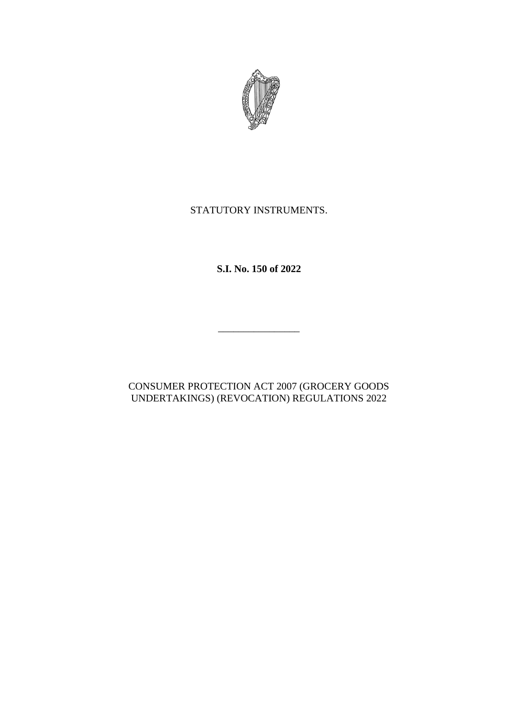

# STATUTORY INSTRUMENTS.

**S.I. No. 150 of 2022**

\_\_\_\_\_\_\_\_\_\_\_\_\_\_\_\_

## CONSUMER PROTECTION ACT 2007 (GROCERY GOODS UNDERTAKINGS) (REVOCATION) REGULATIONS 2022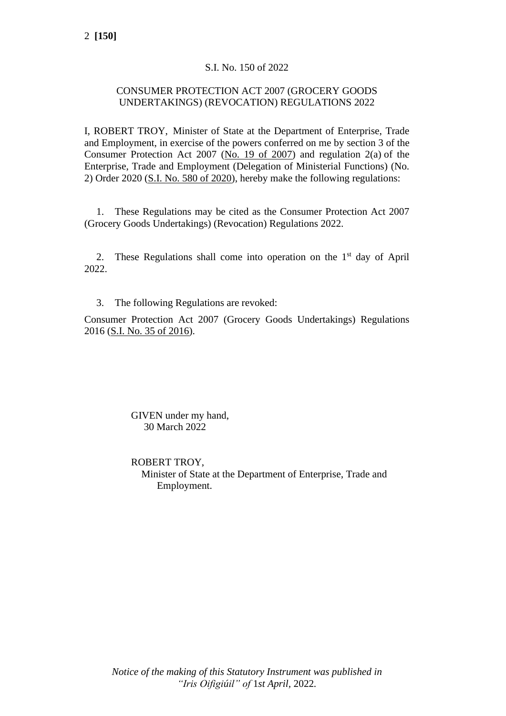### S.I. No. 150 of 2022

### CONSUMER PROTECTION ACT 2007 (GROCERY GOODS UNDERTAKINGS) (REVOCATION) REGULATIONS 2022

I, ROBERT TROY, Minister of State at the Department of Enterprise, Trade and Employment, in exercise of the powers conferred on me by section 3 of the Consumer Protection Act 2007 [\(No. 19 of 2007\)](https://www.irishstatutebook.ie/eli/2007/act/19/enacted/en/html) and regulation 2(a) of the Enterprise, Trade and Employment (Delegation of Ministerial Functions) (No. 2) Order 2020 [\(S.I. No. 580 of 2020\)](https://www.irishstatutebook.ie/eli/2020/si/580/made/en/print), hereby make the following regulations:

1. These Regulations may be cited as the Consumer Protection Act 2007 (Grocery Goods Undertakings) (Revocation) Regulations 2022.

2. These Regulations shall come into operation on the 1<sup>st</sup> day of April 2022.

3. The following Regulations are revoked:

Consumer Protection Act 2007 (Grocery Goods Undertakings) Regulations 2016 [\(S.I. No. 35 of 2016\)](https://www.irishstatutebook.ie/eli/2016/si/35/made/en/print).

> GIVEN under my hand, 30 March 2022

ROBERT TROY, Minister of State at the Department of Enterprise, Trade and Employment.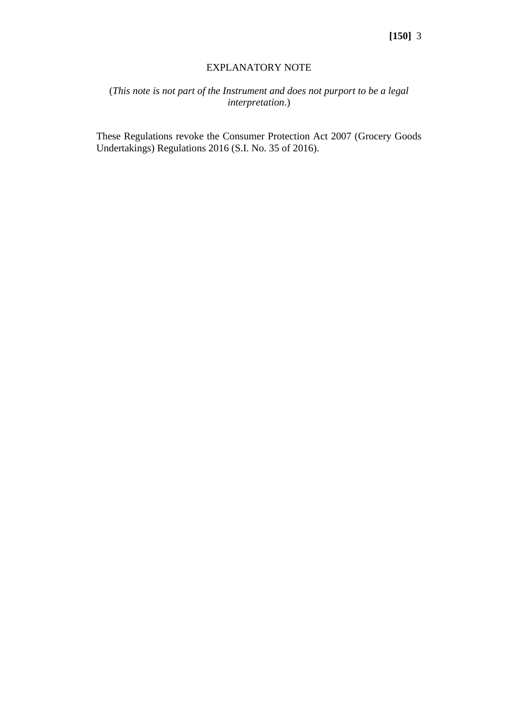#### EXPLANATORY NOTE

## (*This note is not part of the Instrument and does not purport to be a legal interpretation*.)

These Regulations revoke the Consumer Protection Act 2007 (Grocery Goods Undertakings) Regulations 2016 (S.I. No. 35 of 2016).